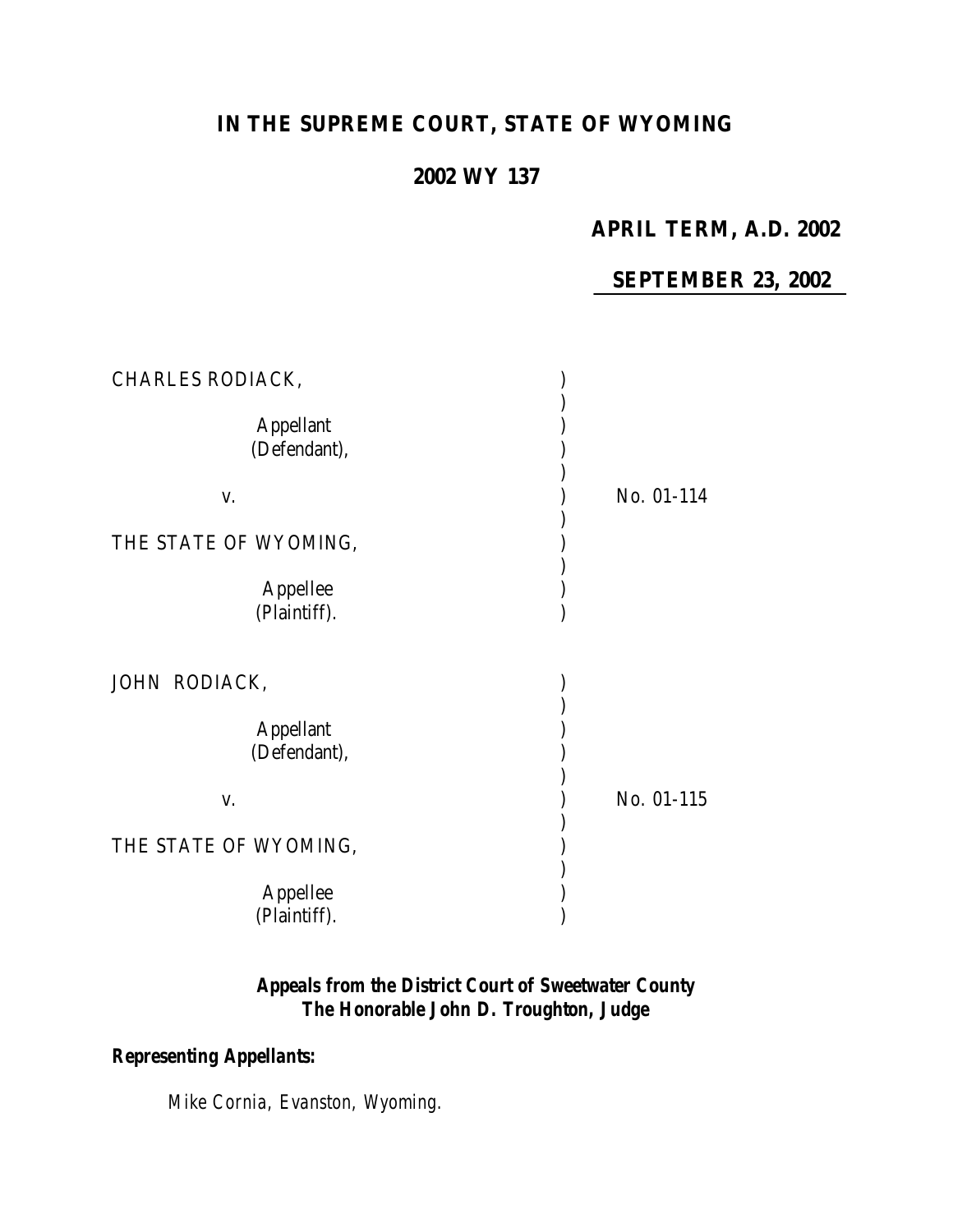# **IN THE SUPREME COURT, STATE OF WYOMING**

## **2002 WY 137**

### **APRIL TERM, A.D. 2002**

### **SEPTEMBER 23, 2002**

| CHARLES RODIACK,                 |            |
|----------------------------------|------------|
| <b>Appellant</b><br>(Defendant), |            |
| V.                               | No. 01-114 |
| THE STATE OF WYOMING,            |            |
| Appellee<br>(Plaintiff).         |            |
| JOHN RODIACK,                    |            |
| <b>Appellant</b><br>(Defendant), |            |
| V.                               | No. 01-115 |
| THE STATE OF WYOMING,            |            |
| Appellee<br>(Plaintiff).         |            |

### *Appeals from the District Court of Sweetwater County The Honorable John D. Troughton, Judge*

## *Representing Appellants:*

*Mike Cornia, Evanston, Wyoming.*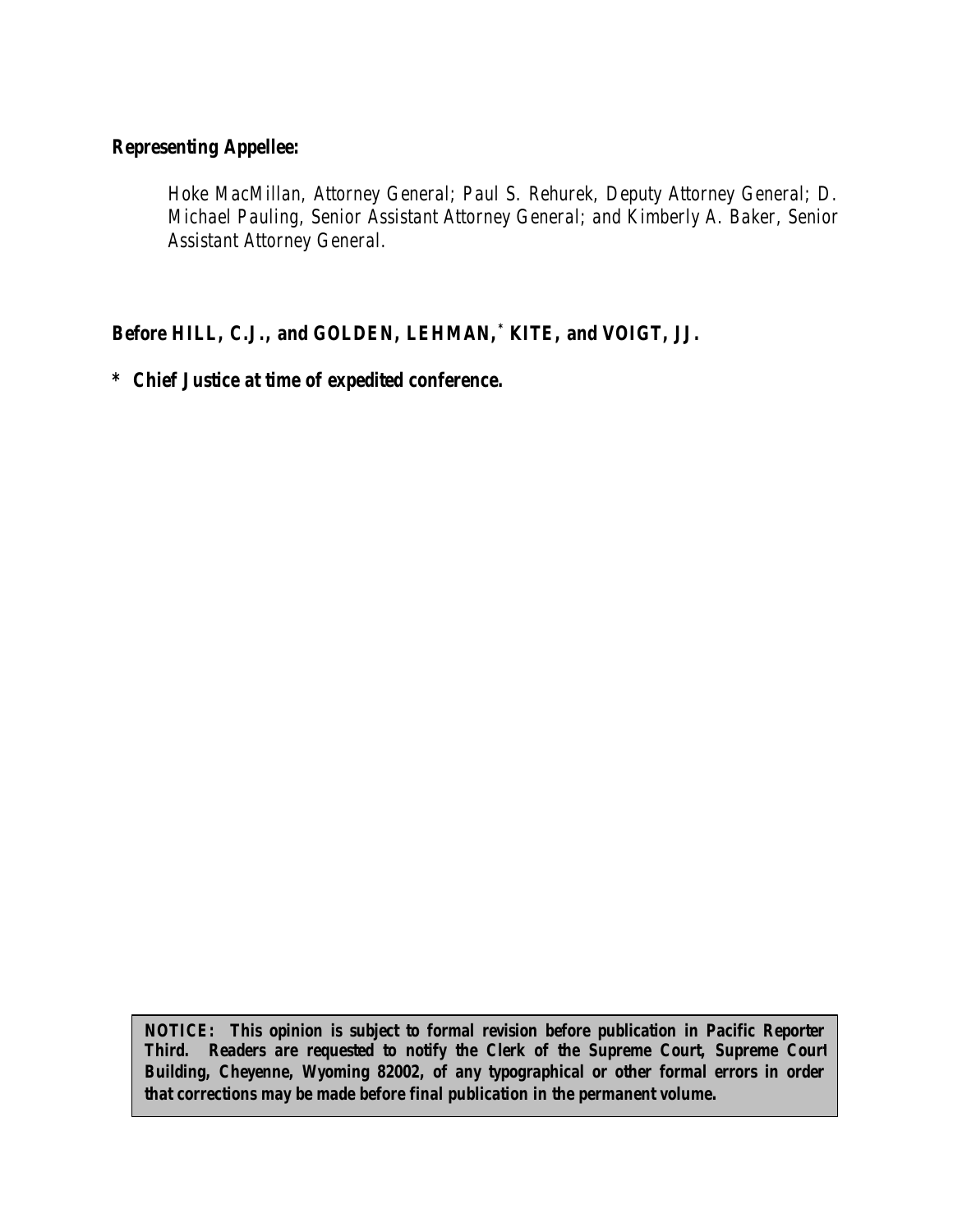### *Representing Appellee:*

*Hoke MacMillan, Attorney General; Paul S. Rehurek, Deputy Attorney General; D. Michael Pauling, Senior Assistant Attorney General; and Kimberly A. Baker, Senior Assistant Attorney General.*

*Before HILL, C.J., and GOLDEN, LEHMAN,\* KITE, and VOIGT, JJ.*

*\* Chief Justice at time of expedited conference.*

*NOTICE: This opinion is subject to formal revision before publication in Pacific Reporter Third. Readers are requested to notify the Clerk of the Supreme Court, Supreme Court Building, Cheyenne, Wyoming 82002, of any typographical or other formal errors in order that corrections may be made before final publication in the permanent volume.*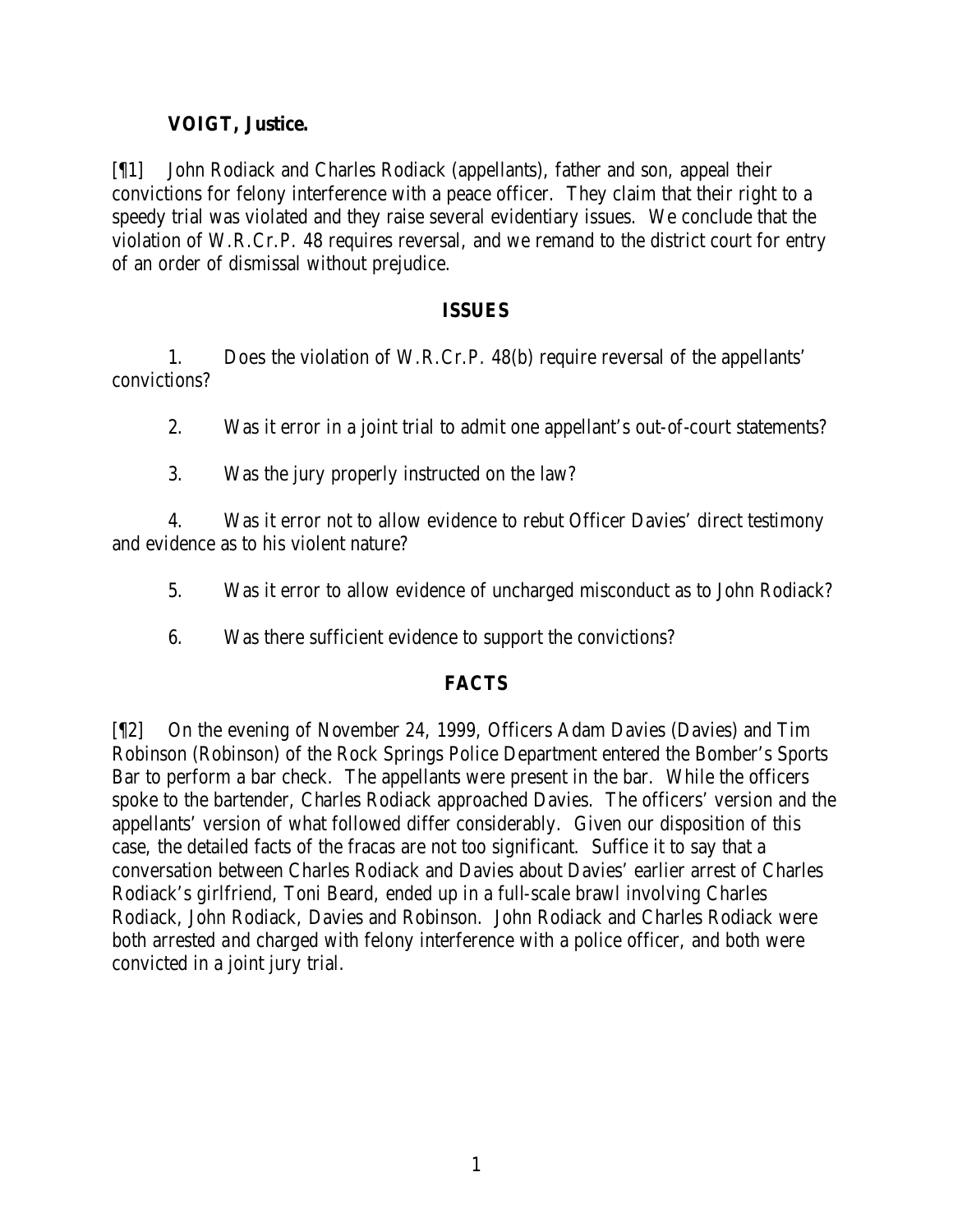#### **VOIGT, Justice.**

[¶1] John Rodiack and Charles Rodiack (appellants), father and son, appeal their convictions for felony interference with a peace officer. They claim that their right to a speedy trial was violated and they raise several evidentiary issues. We conclude that the violation of W.R.Cr.P. 48 requires reversal, and we remand to the district court for entry of an order of dismissal without prejudice.

#### **ISSUES**

1. Does the violation of W.R.Cr.P. 48(b) require reversal of the appellants' convictions?

2. Was it error in a joint trial to admit one appellant's out-of-court statements?

3. Was the jury properly instructed on the law?

4. Was it error not to allow evidence to rebut Officer Davies' direct testimony and evidence as to his violent nature?

- 5. Was it error to allow evidence of uncharged misconduct as to John Rodiack?
- 6. Was there sufficient evidence to support the convictions?

#### **FACTS**

[¶2] On the evening of November 24, 1999, Officers Adam Davies (Davies) and Tim Robinson (Robinson) of the Rock Springs Police Department entered the Bomber's Sports Bar to perform a bar check. The appellants were present in the bar. While the officers spoke to the bartender, Charles Rodiack approached Davies. The officers' version and the appellants' version of what followed differ considerably. Given our disposition of this case, the detailed facts of the fracas are not too significant. Suffice it to say that a conversation between Charles Rodiack and Davies about Davies' earlier arrest of Charles Rodiack's girlfriend, Toni Beard, ended up in a full-scale brawl involving Charles Rodiack, John Rodiack, Davies and Robinson. John Rodiack and Charles Rodiack were both arrested and charged with felony interference with a police officer, and both were convicted in a joint jury trial.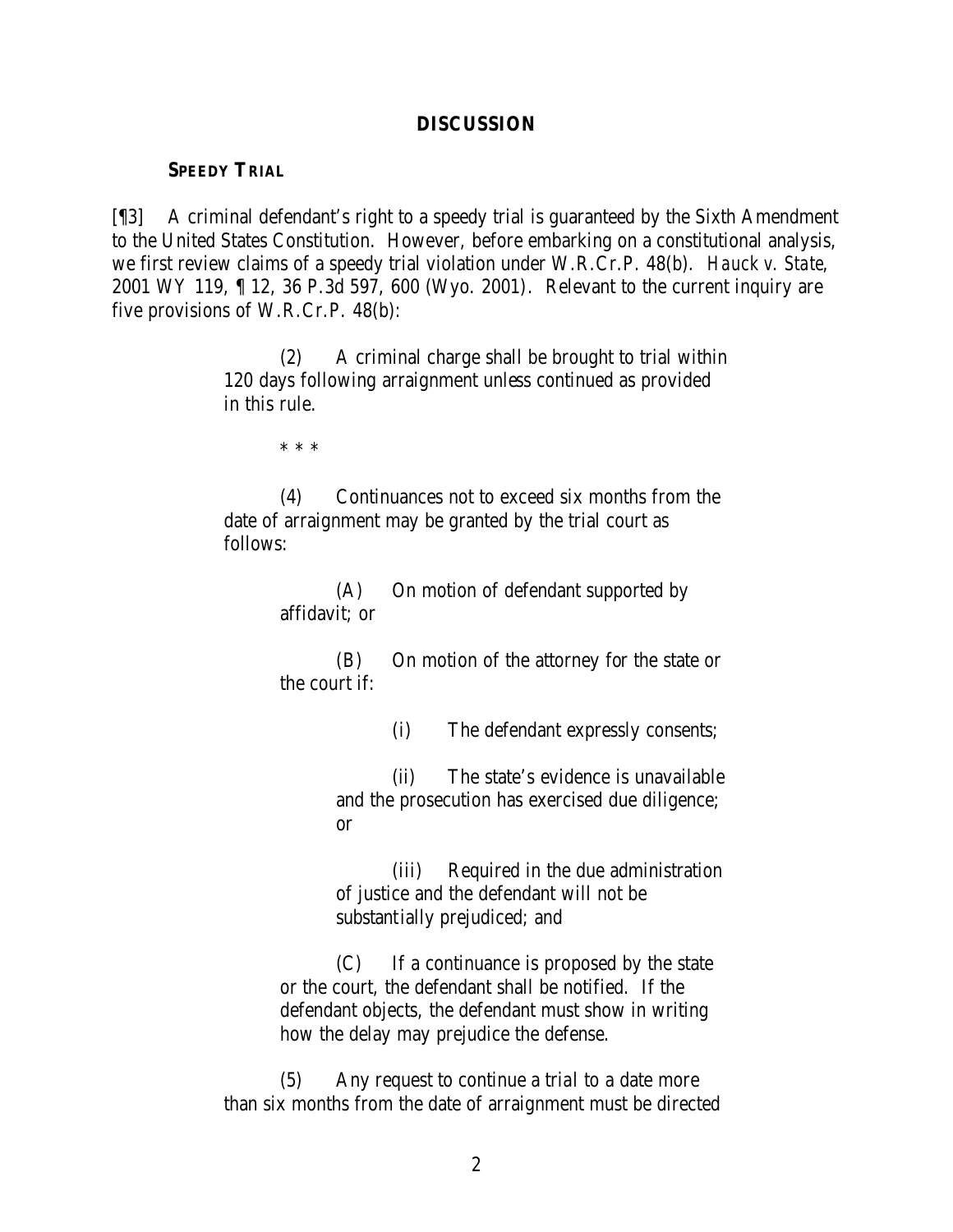#### **DISCUSSION**

#### **SPEEDY TRIAL**

[¶3] A criminal defendant's right to a speedy trial is guaranteed by the Sixth Amendment to the United States Constitution. However, before embarking on a constitutional analysis, we first review claims of a speedy trial violation under W.R.Cr.P. 48(b). *Hauck v. State*, 2001 WY 119, ¶ 12, 36 P.3d 597, 600 (Wyo. 2001). Relevant to the current inquiry are five provisions of W.R.Cr.P. 48(b):

> (2) A criminal charge shall be brought to trial within 120 days following arraignment unless continued as provided in this rule.

> > \* \* \*

(4) Continuances not to exceed six months from the date of arraignment may be granted by the trial court as follows:

> (A) On motion of defendant supported by affidavit; or

(B) On motion of the attorney for the state or the court if:

(i) The defendant expressly consents;

(ii) The state's evidence is unavailable and the prosecution has exercised due diligence; or

(iii) Required in the due administration of justice and the defendant will not be substantially prejudiced; and

(C) If a continuance is proposed by the state or the court, the defendant shall be notified. If the defendant objects, the defendant must show in writing how the delay may prejudice the defense.

(5) Any request to continue a trial to a date more than six months from the date of arraignment must be directed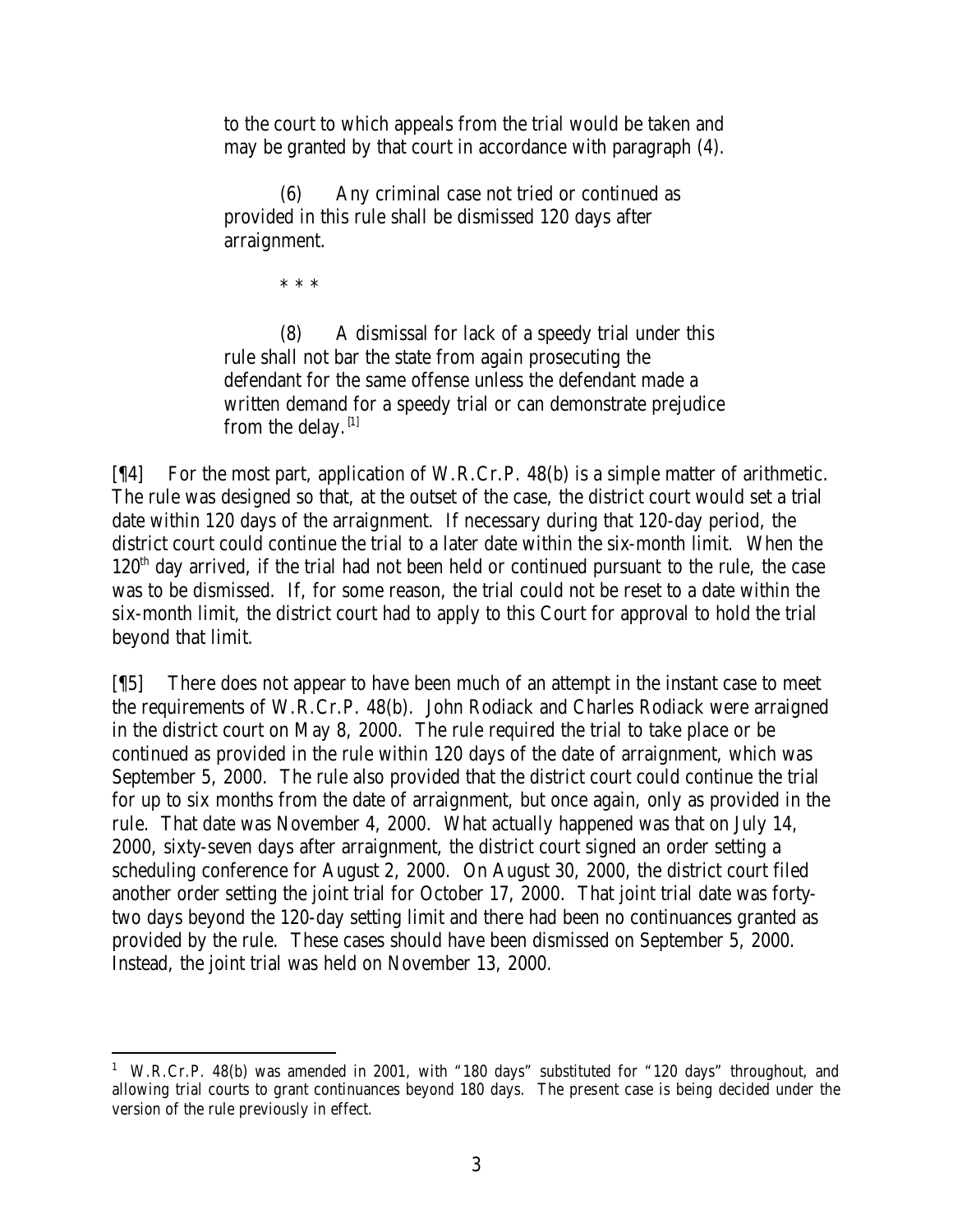to the court to which appeals from the trial would be taken and may be granted by that court in accordance with paragraph (4).

(6) Any criminal case not tried or continued as provided in this rule shall be dismissed 120 days after arraignment.

\* \* \*

(8) A dismissal for lack of a speedy trial under this rule shall not bar the state from again prosecuting the defendant for the same offense unless the defendant made a written demand for a speedy trial or can demonstrate prejudice from the delay.  $[1]$ 

[¶4] For the most part, application of W.R.Cr.P. 48(b) is a simple matter of arithmetic. The rule was designed so that, at the outset of the case, the district court would set a trial date within 120 days of the arraignment. If necessary during that 120-day period, the district court could continue the trial to a later date within the six-month limit. When the  $120<sup>th</sup>$  day arrived, if the trial had not been held or continued pursuant to the rule, the case was to be dismissed. If, for some reason, the trial could not be reset to a date within the six-month limit, the district court had to apply to this Court for approval to hold the trial beyond that limit.

[¶5] There does not appear to have been much of an attempt in the instant case to meet the requirements of W.R.Cr.P. 48(b). John Rodiack and Charles Rodiack were arraigned in the district court on May 8, 2000. The rule required the trial to take place or be continued as provided in the rule within 120 days of the date of arraignment, which was September 5, 2000. The rule also provided that the district court could continue the trial for up to six months from the date of arraignment, but once again, only as provided in the rule. That date was November 4, 2000. What actually happened was that on July 14, 2000, sixty-seven days after arraignment, the district court signed an order setting a scheduling conference for August 2, 2000. On August 30, 2000, the district court filed another order setting the joint trial for October 17, 2000. That joint trial date was fortytwo days beyond the 120-day setting limit and there had been no continuances granted as provided by the rule. These cases should have been dismissed on September 5, 2000. Instead, the joint trial was held on November 13, 2000.

<sup>&</sup>lt;sup>1</sup> W.R.Cr.P. 48(b) was amended in 2001, with "180 days" substituted for "120 days" throughout, and allowing trial courts to grant continuances beyond 180 days. The present case is being decided under the version of the rule previously in effect.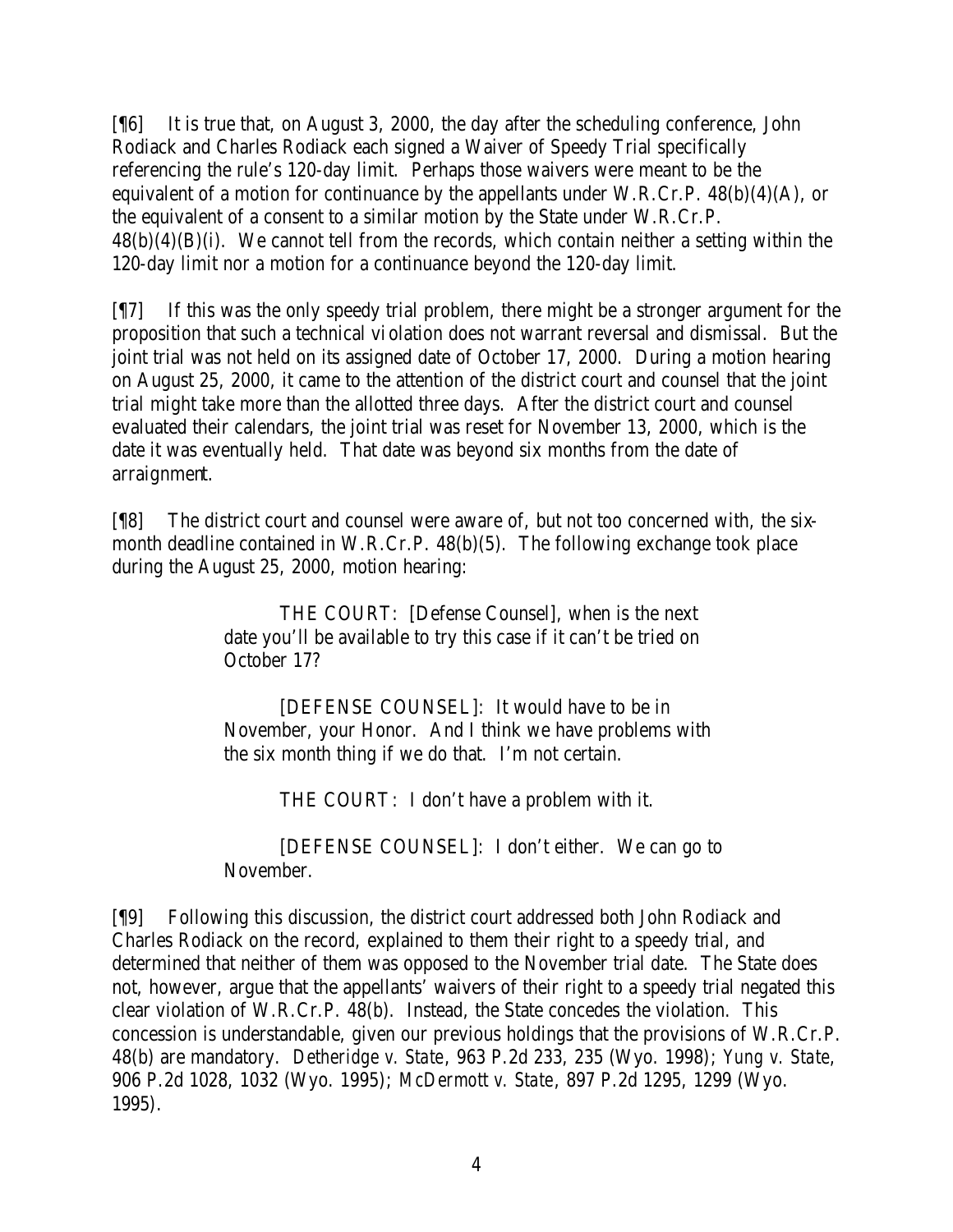[¶6] It is true that, on August 3, 2000, the day after the scheduling conference, John Rodiack and Charles Rodiack each signed a Waiver of Speedy Trial specifically referencing the rule's 120-day limit. Perhaps those waivers were meant to be the equivalent of a motion for continuance by the appellants under W.R.Cr.P.  $48(b)(4)(A)$ , or the equivalent of a consent to a similar motion by the State under W.R.Cr.P.  $48(b)(4)(B)(i)$ . We cannot tell from the records, which contain neither a setting within the 120-day limit nor a motion for a continuance beyond the 120-day limit.

[¶7] If this was the only speedy trial problem, there might be a stronger argument for the proposition that such a technical violation does not warrant reversal and dismissal. But the joint trial was not held on its assigned date of October 17, 2000. During a motion hearing on August 25, 2000, it came to the attention of the district court and counsel that the joint trial might take more than the allotted three days. After the district court and counsel evaluated their calendars, the joint trial was reset for November 13, 2000, which is the date it was eventually held. That date was beyond six months from the date of arraignment.

[¶8] The district court and counsel were aware of, but not too concerned with, the sixmonth deadline contained in W.R.Cr.P. 48(b)(5). The following exchange took place during the August 25, 2000, motion hearing:

> THE COURT: [Defense Counsel], when is the next date you'll be available to try this case if it can't be tried on October 17?

[DEFENSE COUNSEL]: It would have to be in November, your Honor. And I think we have problems with the six month thing if we do that. I'm not certain.

THE COURT: I don't have a problem with it.

[DEFENSE COUNSEL]: I don't either. We can go to November.

[¶9] Following this discussion, the district court addressed both John Rodiack and Charles Rodiack on the record, explained to them their right to a speedy trial, and determined that neither of them was opposed to the November trial date. The State does not, however, argue that the appellants' waivers of their right to a speedy trial negated this clear violation of W.R.Cr.P. 48(b). Instead, the State concedes the violation. This concession is understandable, given our previous holdings that the provisions of W.R.Cr.P. 48(b) are mandatory. *Detheridge v. State*, 963 P.2d 233, 235 (Wyo. 1998); *Yung v. State*, 906 P.2d 1028, 1032 (Wyo. 1995); *McDermott v. State*, 897 P.2d 1295, 1299 (Wyo. 1995).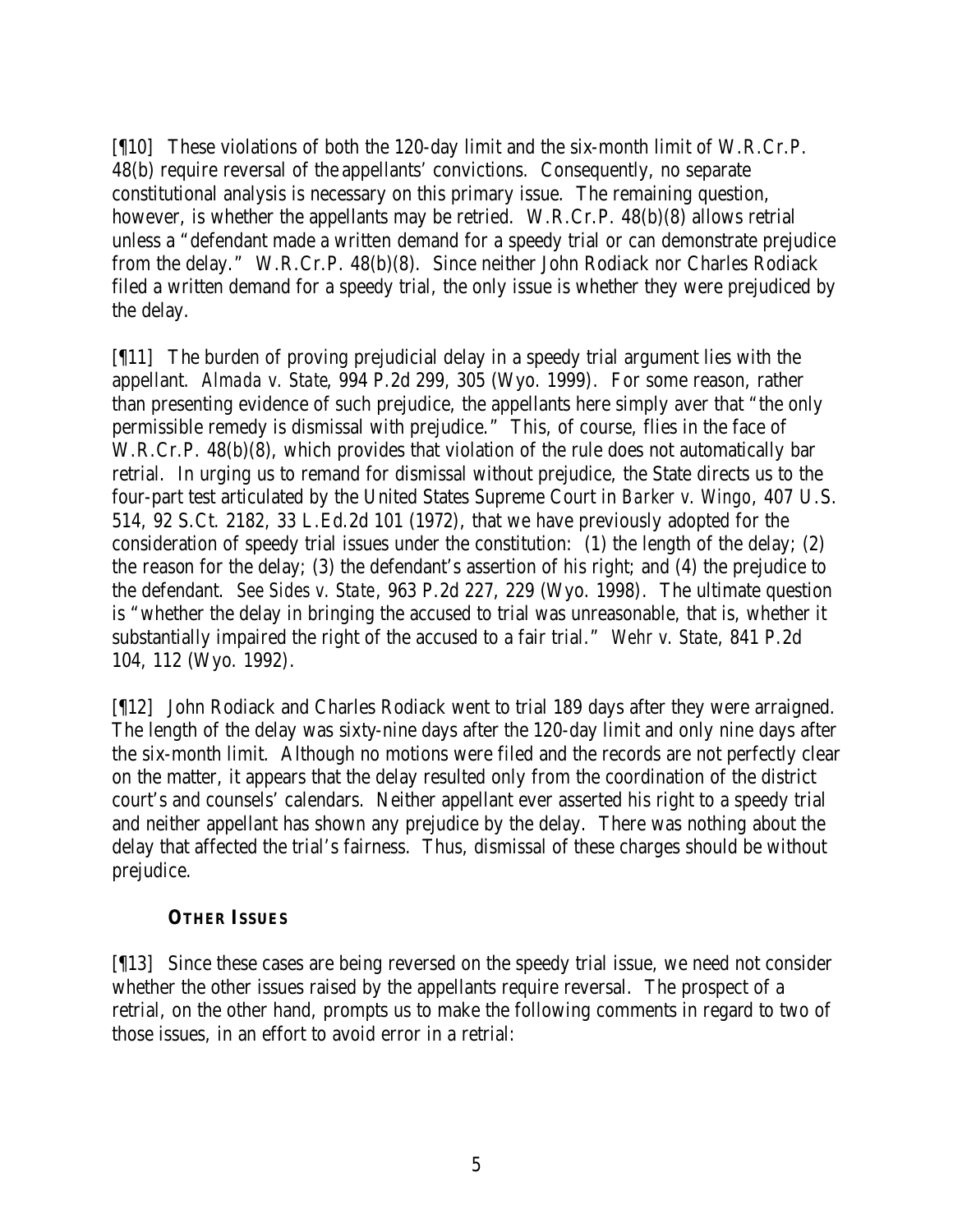[¶10] These violations of both the 120-day limit and the six-month limit of W.R.Cr.P. 48(b) require reversal of the appellants' convictions. Consequently, no separate constitutional analysis is necessary on this primary issue. The remaining question, however, is whether the appellants may be retried. W.R.Cr.P. 48(b)(8) allows retrial unless a "defendant made a written demand for a speedy trial or can demonstrate prejudice from the delay." W.R.Cr.P. 48(b)(8). Since neither John Rodiack nor Charles Rodiack filed a written demand for a speedy trial, the only issue is whether they were prejudiced by the delay.

[¶11] The burden of proving prejudicial delay in a speedy trial argument lies with the appellant. *Almada v. State*, 994 P.2d 299, 305 (Wyo. 1999). For some reason, rather than presenting evidence of such prejudice, the appellants here simply aver that "the only permissible remedy is dismissal with prejudice." This, of course, flies in the face of W.R.Cr.P. 48(b)(8), which provides that violation of the rule does not automatically bar retrial. In urging us to remand for dismissal without prejudice, the State directs us to the four-part test articulated by the United States Supreme Court in *Barker v. Wingo*, 407 U.S. 514, 92 S.Ct. 2182, 33 L.Ed.2d 101 (1972), that we have previously adopted for the consideration of speedy trial issues under the constitution: (1) the length of the delay; (2) the reason for the delay; (3) the defendant's assertion of his right; and (4) the prejudice to the defendant. *See Sides v. State*, 963 P.2d 227, 229 (Wyo. 1998). The ultimate question is "whether the delay in bringing the accused to trial was unreasonable, that is, whether it substantially impaired the right of the accused to a fair trial." *Wehr v. State*, 841 P.2d 104, 112 (Wyo. 1992).

[¶12] John Rodiack and Charles Rodiack went to trial 189 days after they were arraigned. The length of the delay was sixty-nine days after the 120-day limit and only nine days after the six-month limit. Although no motions were filed and the records are not perfectly clear on the matter, it appears that the delay resulted only from the coordination of the district court's and counsels' calendars. Neither appellant ever asserted his right to a speedy trial and neither appellant has shown any prejudice by the delay. There was nothing about the delay that affected the trial's fairness. Thus, dismissal of these charges should be without prejudice.

#### **OTHER ISSUES**

[¶13] Since these cases are being reversed on the speedy trial issue, we need not consider whether the other issues raised by the appellants require reversal. The prospect of a retrial, on the other hand, prompts us to make the following comments in regard to two of those issues, in an effort to avoid error in a retrial: